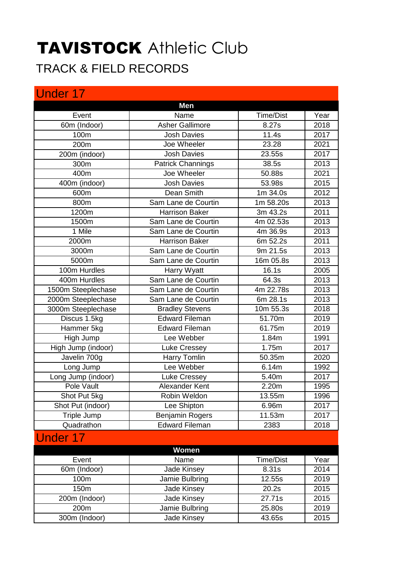## TAVISTOCK Athletic Club TRACK & FIELD RECORDS

| <b>Under 17</b>    |                          |                  |      |
|--------------------|--------------------------|------------------|------|
|                    | <b>Men</b>               |                  |      |
| Event              | Name                     | <b>Time/Dist</b> | Year |
| 60m (Indoor)       | <b>Asher Gallimore</b>   | 8.27s            | 2018 |
| 100m               | <b>Josh Davies</b>       | 11.4s            | 2017 |
| 200m               | Joe Wheeler              | 23.28            | 2021 |
| 200m (indoor)      | <b>Josh Davies</b>       | 23.55s           | 2017 |
| 300m               | <b>Patrick Channings</b> | 38.5s            | 2013 |
| 400m               | Joe Wheeler              | 50.88s           | 2021 |
| 400m (indoor)      | <b>Josh Davies</b>       | 53.98s           | 2015 |
| 600m               | Dean Smith               | 1m 34.0s         | 2012 |
| 800m               | Sam Lane de Courtin      | 1m 58.20s        | 2013 |
| 1200m              | <b>Harrison Baker</b>    | 3m 43.2s         | 2011 |
| 1500m              | Sam Lane de Courtin      | 4m 02.53s        | 2013 |
| 1 Mile             | Sam Lane de Courtin      | 4m 36.9s         | 2013 |
| 2000m              | <b>Harrison Baker</b>    | 6m 52.2s         | 2011 |
| 3000m              | Sam Lane de Courtin      | 9m 21.5s         | 2013 |
| 5000m              | Sam Lane de Courtin      | 16m 05.8s        | 2013 |
| 100m Hurdles       | Harry Wyatt              | 16.1s            | 2005 |
| 400m Hurdles       | Sam Lane de Courtin      | 64.3s            | 2013 |
| 1500m Steeplechase | Sam Lane de Courtin      | 4m 22.78s        | 2013 |
| 2000m Steeplechase | Sam Lane de Courtin      | 6m 28.1s         | 2013 |
| 3000m Steeplechase | <b>Bradley Stevens</b>   | 10m 55.3s        | 2018 |
| Discus 1.5kg       | <b>Edward Fileman</b>    | 51.70m           | 2019 |
| Hammer 5kg         | <b>Edward Fileman</b>    | 61.75m           | 2019 |
| High Jump          | Lee Webber               | 1.84m            | 1991 |
| High Jump (indoor) | Luke Cressey             | 1.75m            | 2017 |
| Javelin 700g       | Harry Tomlin             | 50.35m           | 2020 |
| Long Jump          | Lee Webber               | 6.14m            | 1992 |
| Long Jump (indoor) | <b>Luke Cressey</b>      | 5.40m            | 2017 |
| Pole Vault         | Alexander Kent           | 2.20m            | 1995 |
| Shot Put 5kg       | Robin Weldon             | 13.55m           | 1996 |
| Shot Put (indoor)  | Lee Shipton              | 6.96m            | 2017 |
| Triple Jump        | <b>Benjamin Rogers</b>   | 11.53m           | 2017 |
| Quadrathon         | <b>Edward Fileman</b>    | 2383             | 2018 |
| <b>Under 17</b>    |                          |                  |      |
|                    | Women                    |                  |      |
| Event              | Name                     | <b>Time/Dist</b> | Year |
| 60m (Indoor)       | Jade Kinsey              | 8.31s            | 2014 |
| 100m               | Jamie Bulbring           | 12.55s           | 2019 |
| 150m               | Jade Kinsey              | 20.2s            | 2015 |
| 200m (Indoor)      | Jade Kinsey              | 27.71s           | 2015 |
| 200m               | Jamie Bulbring           | 25.80s           | 2019 |

300m (Indoor) Jade Kinsey 43.65s 2015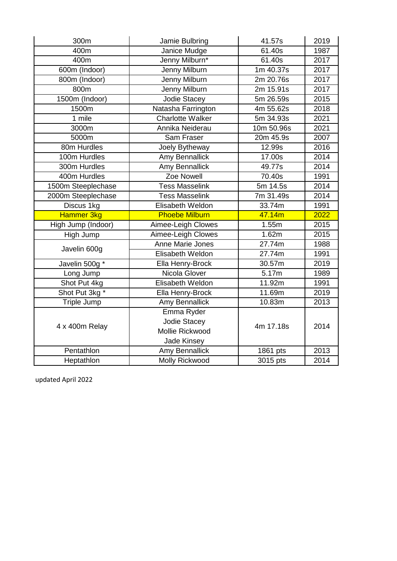| 300m                       | Jamie Bulbring                                                                                                                                                                                                             | 41.57s                                                                                                               | 2019 |
|----------------------------|----------------------------------------------------------------------------------------------------------------------------------------------------------------------------------------------------------------------------|----------------------------------------------------------------------------------------------------------------------|------|
| 400m                       | Janice Mudge                                                                                                                                                                                                               | 61.40s                                                                                                               | 1987 |
| 400m                       | Jenny Milburn*                                                                                                                                                                                                             | 61.40s                                                                                                               | 2017 |
| 600m (Indoor)              | Jenny Milburn                                                                                                                                                                                                              | 1m 40.37s                                                                                                            | 2017 |
| $\overline{800m}$ (Indoor) | <b>Jenny Milburn</b>                                                                                                                                                                                                       | 2m 20.76s                                                                                                            | 2017 |
| 800m                       | Jenny Milburn                                                                                                                                                                                                              | 2m 15.91s                                                                                                            | 2017 |
| 1500m (Indoor)             | <b>Jodie Stacey</b>                                                                                                                                                                                                        | 5m 26.59s                                                                                                            | 2015 |
| 1500m                      | Natasha Farrington                                                                                                                                                                                                         | 4m 55.62s                                                                                                            | 2018 |
| 1 mile                     | <b>Charlotte Walker</b>                                                                                                                                                                                                    | 5m 34.93s                                                                                                            | 2021 |
| 3000m                      | Annika Neiderau                                                                                                                                                                                                            | $10m$ 50.96s                                                                                                         | 2021 |
| 5000m                      | Sam Fraser                                                                                                                                                                                                                 | 20m 45.9s                                                                                                            | 2007 |
| 80m Hurdles                | Joely Bytheway                                                                                                                                                                                                             | 12.99s                                                                                                               | 2016 |
| 100m Hurdles               | Amy Bennallick                                                                                                                                                                                                             | 17.00s                                                                                                               | 2014 |
| 300m Hurdles               | Amy Bennallick                                                                                                                                                                                                             | 49.77s                                                                                                               | 2014 |
| 400m Hurdles               | Zoe Nowell                                                                                                                                                                                                                 | 70.40s                                                                                                               | 1991 |
| 1500m Steeplechase         | <b>Tess Masselink</b>                                                                                                                                                                                                      | 5m 14.5s                                                                                                             | 2014 |
| 2000m Steeplechase         | <b>Tess Masselink</b>                                                                                                                                                                                                      | 7m 31.49s                                                                                                            | 2014 |
| Discus 1kg                 | Elisabeth Weldon                                                                                                                                                                                                           | 33.74m                                                                                                               | 1991 |
| Hammer 3kg                 | <b>Phoebe Milburn</b>                                                                                                                                                                                                      | 47.14m                                                                                                               | 2022 |
| High Jump (Indoor)         | Aimee-Leigh Clowes                                                                                                                                                                                                         | 1.55m                                                                                                                | 2015 |
| High Jump                  | Aimee-Leigh Clowes                                                                                                                                                                                                         | 1.62m                                                                                                                | 2015 |
| Javelin 600g               | Anne Marie Jones                                                                                                                                                                                                           | 27.74m<br>27.74m<br>30.57m<br>$\overline{5.17}$ m<br>11.92m<br>11.69m<br>10.83m<br>4m 17.18s<br>1861 pts<br>3015 pts | 1988 |
|                            | Elisabeth Weldon<br>Ella Henry-Brock<br>Nicola Glover<br>Elisabeth Weldon<br>Ella Henry-Brock<br>Amy Bennallick<br>Emma Ryder<br>Jodie Stacey<br>Mollie Rickwood<br>Jade Kinsey<br>Amy Bennallick<br><b>Molly Rickwood</b> | 1991                                                                                                                 |      |
| Javelin 500g *             |                                                                                                                                                                                                                            |                                                                                                                      | 2019 |
| Long Jump                  |                                                                                                                                                                                                                            |                                                                                                                      | 1989 |
| Shot Put 4kg               |                                                                                                                                                                                                                            |                                                                                                                      | 1991 |
| Shot Put 3kg *             |                                                                                                                                                                                                                            |                                                                                                                      | 2019 |
| Triple Jump                |                                                                                                                                                                                                                            |                                                                                                                      | 2013 |
|                            |                                                                                                                                                                                                                            |                                                                                                                      | 2014 |
| 4 x 400m Relay             |                                                                                                                                                                                                                            |                                                                                                                      |      |
|                            |                                                                                                                                                                                                                            |                                                                                                                      |      |
|                            |                                                                                                                                                                                                                            |                                                                                                                      |      |
| Pentathlon                 |                                                                                                                                                                                                                            |                                                                                                                      | 2013 |
| Heptathlon                 |                                                                                                                                                                                                                            |                                                                                                                      | 2014 |

updated April 2022